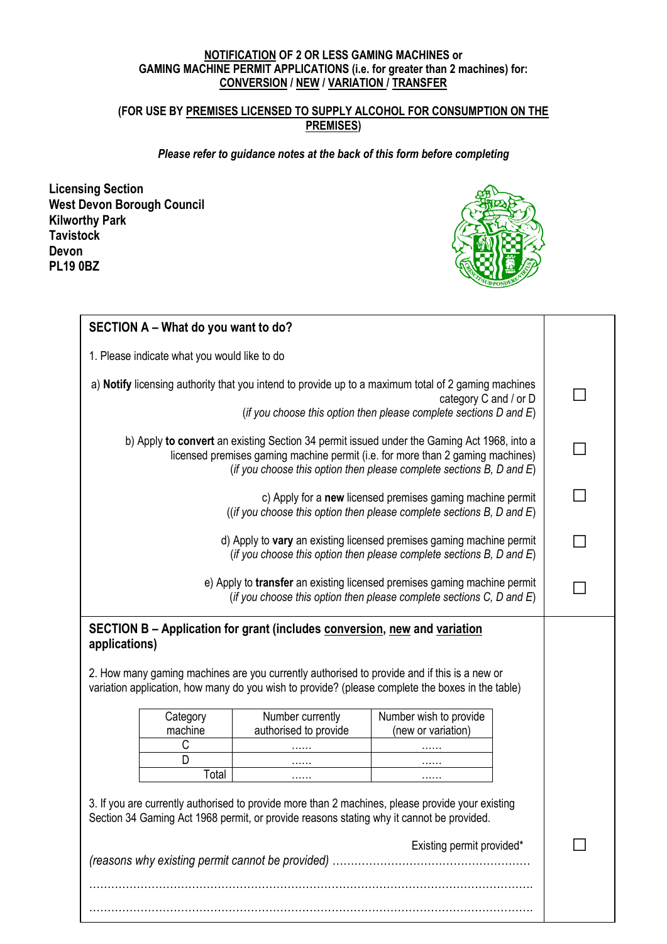#### **NOTIFICATION OF 2 OR LESS GAMING MACHINES or GAMING MACHINE PERMIT APPLICATIONS (i.e. for greater than 2 machines) for: CONVERSION / NEW / VARIATION / TRANSFER**

### **(FOR USE BY PREMISES LICENSED TO SUPPLY ALCOHOL FOR CONSUMPTION ON THE PREMISES)**

#### *Please refer to guidance notes at the back of this form before completing*

**Licensing Section West Devon Borough Council Kilworthy Park Tavistock Devon PL19 0BZ**



| SECTION A - What do you want to do?                                                                                                                                                                                                                  |                                              |                                                                           |                                                                                                                                                                                                 |  |
|------------------------------------------------------------------------------------------------------------------------------------------------------------------------------------------------------------------------------------------------------|----------------------------------------------|---------------------------------------------------------------------------|-------------------------------------------------------------------------------------------------------------------------------------------------------------------------------------------------|--|
|                                                                                                                                                                                                                                                      |                                              |                                                                           |                                                                                                                                                                                                 |  |
|                                                                                                                                                                                                                                                      | 1. Please indicate what you would like to do |                                                                           |                                                                                                                                                                                                 |  |
| a) Notify licensing authority that you intend to provide up to a maximum total of 2 gaming machines<br>category C and / or D<br>(if you choose this option then please complete sections D and E)                                                    |                                              |                                                                           |                                                                                                                                                                                                 |  |
|                                                                                                                                                                                                                                                      |                                              |                                                                           |                                                                                                                                                                                                 |  |
| b) Apply to convert an existing Section 34 permit issued under the Gaming Act 1968, into a<br>licensed premises gaming machine permit (i.e. for more than 2 gaming machines)<br>(if you choose this option then please complete sections B, D and E) |                                              |                                                                           |                                                                                                                                                                                                 |  |
|                                                                                                                                                                                                                                                      |                                              |                                                                           | c) Apply for a new licensed premises gaming machine permit<br>((if you choose this option then please complete sections $B$ , $D$ and $E$ )                                                     |  |
|                                                                                                                                                                                                                                                      |                                              |                                                                           | d) Apply to vary an existing licensed premises gaming machine permit<br>(if you choose this option then please complete sections $B$ , $D$ and $E$ )                                            |  |
|                                                                                                                                                                                                                                                      |                                              |                                                                           | e) Apply to transfer an existing licensed premises gaming machine permit<br>(if you choose this option then please complete sections $C$ , $D$ and $E$ )                                        |  |
| applications)                                                                                                                                                                                                                                        |                                              | SECTION B - Application for grant (includes conversion, new and variation | 2. How many gaming machines are you currently authorised to provide and if this is a new or<br>variation application, how many do you wish to provide? (please complete the boxes in the table) |  |
|                                                                                                                                                                                                                                                      | Category                                     | Number currently                                                          | Number wish to provide                                                                                                                                                                          |  |
|                                                                                                                                                                                                                                                      | machine                                      | authorised to provide                                                     | (new or variation)                                                                                                                                                                              |  |
|                                                                                                                                                                                                                                                      | C                                            |                                                                           |                                                                                                                                                                                                 |  |
|                                                                                                                                                                                                                                                      | D                                            |                                                                           |                                                                                                                                                                                                 |  |
|                                                                                                                                                                                                                                                      | Total                                        | .                                                                         |                                                                                                                                                                                                 |  |
|                                                                                                                                                                                                                                                      |                                              |                                                                           | 3. If you are currently authorised to provide more than 2 machines, please provide your existing<br>Section 34 Gaming Act 1968 permit, or provide reasons stating why it cannot be provided.    |  |
|                                                                                                                                                                                                                                                      |                                              |                                                                           |                                                                                                                                                                                                 |  |

………………………………………………………………………………………………………….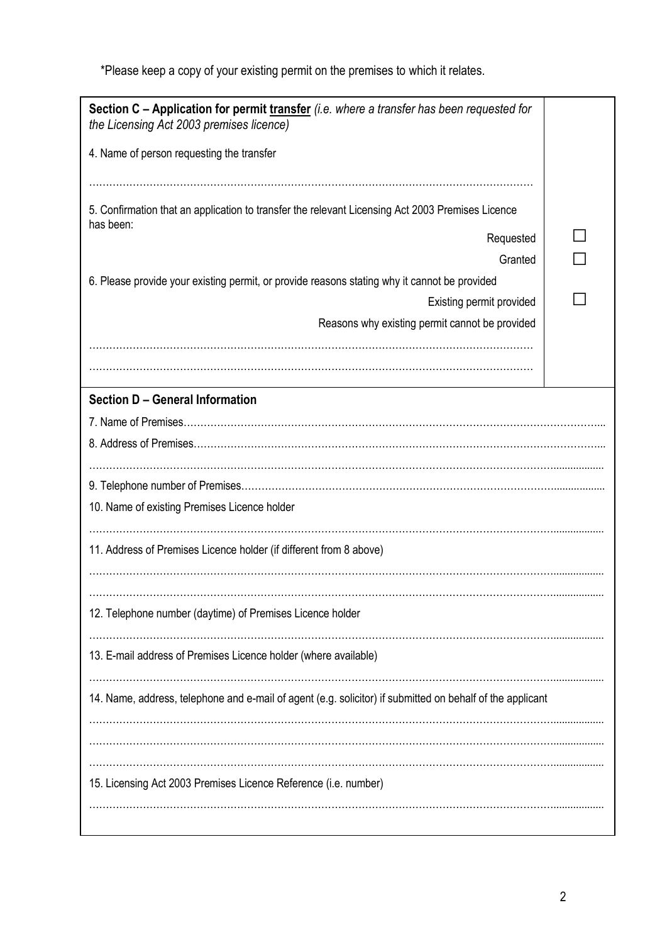\*Please keep a copy of your existing permit on the premises to which it relates.

| Section C - Application for permit transfer <i>(i.e. where a transfer has been requested for</i><br>the Licensing Act 2003 premises licence) |  |  |  |  |
|----------------------------------------------------------------------------------------------------------------------------------------------|--|--|--|--|
| 4. Name of person requesting the transfer                                                                                                    |  |  |  |  |
|                                                                                                                                              |  |  |  |  |
| 5. Confirmation that an application to transfer the relevant Licensing Act 2003 Premises Licence<br>has been:                                |  |  |  |  |
| Requested                                                                                                                                    |  |  |  |  |
| Granted                                                                                                                                      |  |  |  |  |
| 6. Please provide your existing permit, or provide reasons stating why it cannot be provided                                                 |  |  |  |  |
| Existing permit provided                                                                                                                     |  |  |  |  |
| Reasons why existing permit cannot be provided                                                                                               |  |  |  |  |
|                                                                                                                                              |  |  |  |  |
|                                                                                                                                              |  |  |  |  |
| <b>Section D - General Information</b>                                                                                                       |  |  |  |  |
|                                                                                                                                              |  |  |  |  |
|                                                                                                                                              |  |  |  |  |
|                                                                                                                                              |  |  |  |  |
|                                                                                                                                              |  |  |  |  |
| 10. Name of existing Premises Licence holder                                                                                                 |  |  |  |  |
| 11. Address of Premises Licence holder (if different from 8 above)                                                                           |  |  |  |  |
|                                                                                                                                              |  |  |  |  |
| 12. Telephone number (daytime) of Premises Licence holder                                                                                    |  |  |  |  |
| 13. E-mail address of Premises Licence holder (where available)                                                                              |  |  |  |  |
| 14. Name, address, telephone and e-mail of agent (e.g. solicitor) if submitted on behalf of the applicant                                    |  |  |  |  |
|                                                                                                                                              |  |  |  |  |
| 15. Licensing Act 2003 Premises Licence Reference (i.e. number)                                                                              |  |  |  |  |
|                                                                                                                                              |  |  |  |  |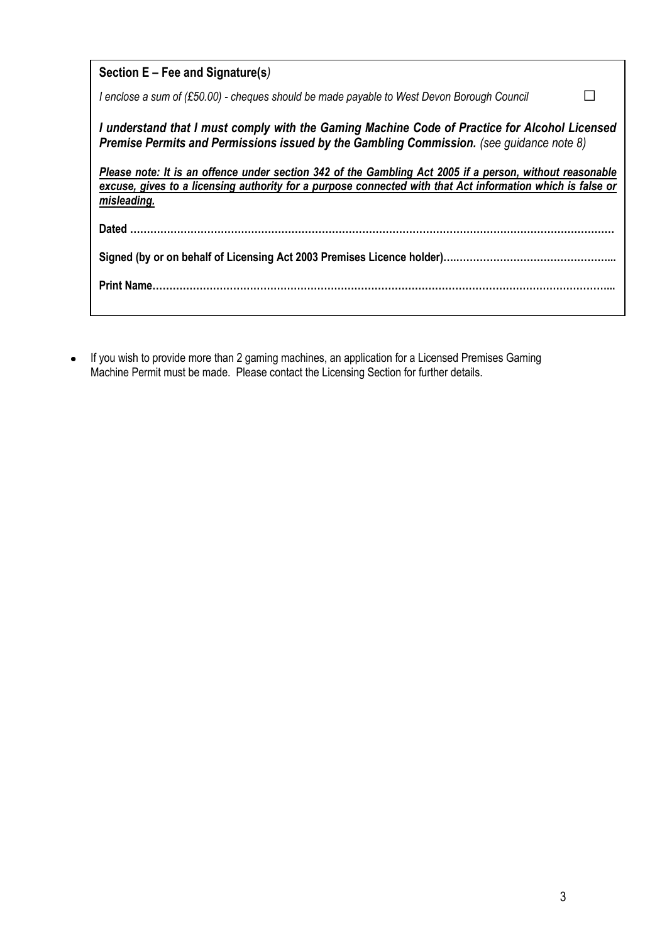| Section $E$ – Fee and Signature(s)                                                                                                                                                                                                    |  |  |  |  |
|---------------------------------------------------------------------------------------------------------------------------------------------------------------------------------------------------------------------------------------|--|--|--|--|
| I enclose a sum of (£50.00) - cheques should be made payable to West Devon Borough Council                                                                                                                                            |  |  |  |  |
| I understand that I must comply with the Gaming Machine Code of Practice for Alcohol Licensed<br>Premise Permits and Permissions issued by the Gambling Commission. (see quidance note 8)                                             |  |  |  |  |
| Please note: It is an offence under section 342 of the Gambling Act 2005 if a person, without reasonable<br>excuse, gives to a licensing authority for a purpose connected with that Act information which is false or<br>misleading. |  |  |  |  |
|                                                                                                                                                                                                                                       |  |  |  |  |
|                                                                                                                                                                                                                                       |  |  |  |  |
|                                                                                                                                                                                                                                       |  |  |  |  |

If you wish to provide more than 2 gaming machines, an application for a Licensed Premises Gaming Machine Permit must be made. Please contact the Licensing Section for further details.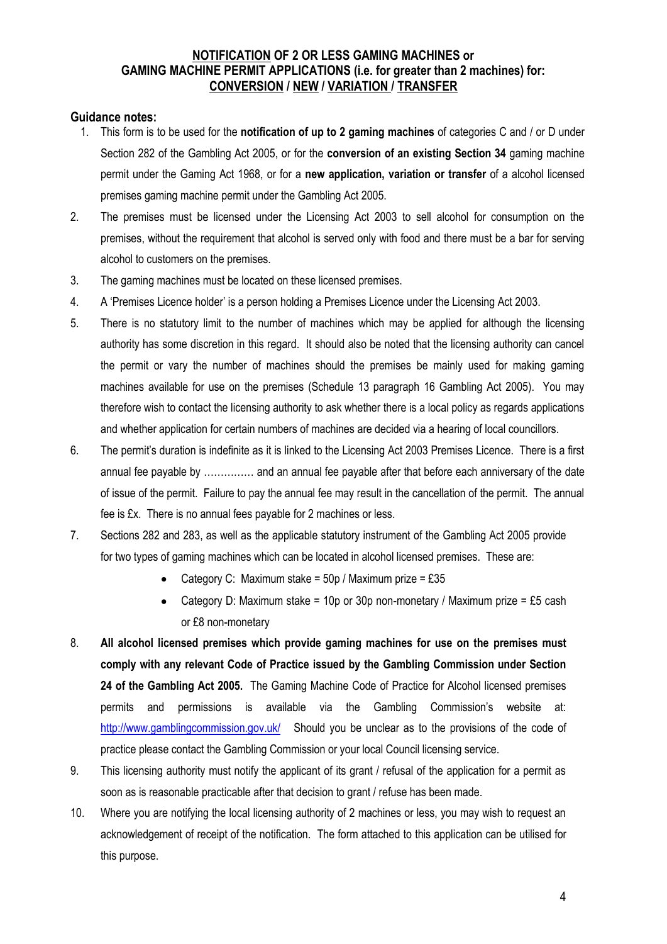## **NOTIFICATION OF 2 OR LESS GAMING MACHINES or GAMING MACHINE PERMIT APPLICATIONS (i.e. for greater than 2 machines) for: CONVERSION / NEW / VARIATION / TRANSFER**

## **Guidance notes:**

- 1. This form is to be used for the **notification of up to 2 gaming machines** of categories C and / or D under Section 282 of the Gambling Act 2005, or for the **conversion of an existing Section 34** gaming machine permit under the Gaming Act 1968, or for a **new application, variation or transfer** of a alcohol licensed premises gaming machine permit under the Gambling Act 2005.
- 2. The premises must be licensed under the Licensing Act 2003 to sell alcohol for consumption on the premises, without the requirement that alcohol is served only with food and there must be a bar for serving alcohol to customers on the premises.
- 3. The gaming machines must be located on these licensed premises.
- 4. A 'Premises Licence holder' is a person holding a Premises Licence under the Licensing Act 2003.
- 5. There is no statutory limit to the number of machines which may be applied for although the licensing authority has some discretion in this regard. It should also be noted that the licensing authority can cancel the permit or vary the number of machines should the premises be mainly used for making gaming machines available for use on the premises (Schedule 13 paragraph 16 Gambling Act 2005). You may therefore wish to contact the licensing authority to ask whether there is a local policy as regards applications and whether application for certain numbers of machines are decided via a hearing of local councillors.
- 6. The permit's duration is indefinite as it is linked to the Licensing Act 2003 Premises Licence. There is a first annual fee payable by …………… and an annual fee payable after that before each anniversary of the date of issue of the permit. Failure to pay the annual fee may result in the cancellation of the permit. The annual fee is £x. There is no annual fees payable for 2 machines or less.
- 7. Sections 282 and 283, as well as the applicable statutory instrument of the Gambling Act 2005 provide for two types of gaming machines which can be located in alcohol licensed premises. These are:
	- Category C: Maximum stake =  $50p /$  Maximum prize = £35  $\bullet$
	- Category D: Maximum stake = 10p or 30p non-monetary / Maximum prize = £5 cash or £8 non-monetary
- 8. **All alcohol licensed premises which provide gaming machines for use on the premises must comply with any relevant Code of Practice issued by the Gambling Commission under Section 24 of the Gambling Act 2005.** The Gaming Machine Code of Practice for Alcohol licensed premises permits and permissions is available via the Gambling Commission's website at: <http://www.gamblingcommission.gov.uk/>Should you be unclear as to the provisions of the code of practice please contact the Gambling Commission or your local Council licensing service.
- 9. This licensing authority must notify the applicant of its grant / refusal of the application for a permit as soon as is reasonable practicable after that decision to grant / refuse has been made.
- 10. Where you are notifying the local licensing authority of 2 machines or less, you may wish to request an acknowledgement of receipt of the notification. The form attached to this application can be utilised for this purpose.